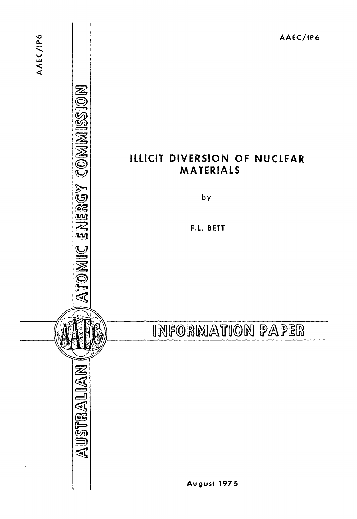## ILLICIT DIVERSION OF NUCLEAR MATERIALS

by

F.L. BETT

# INFORMATION PAPER

ATOMIC ENERGY COMMISSION

AUSTRALIAN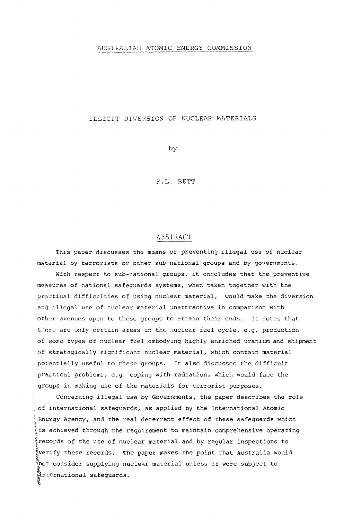#### AUSTRALIAN ATOMIC ENERGY COMMISSION

#### ILLICIT DIVERSION OF NUCLEAR MATERIALS

by

F.L. BETT

#### ABSTRACT

This paper discusses the means of preventing illegal use of nuclear material by terrorists or other sub-national groups and by governments.

With respect to sub-national groups, it concludes that the preventive measures of national safeguards systems, when taken together with the practical difficulties of using nuclear material, would make the diversion and illegal use of nuclear material unattractive in comparison with other avenues open to these groups to attain their ends. It notes that there are only certain areas in the nuclear fuel cycle, e.g. production of some types of nuclear fuel embodying highly enriched uranium and shipment of strategically significant nuclear material, which contain material potentially useful to these groups. It also discusses the difficult practical problems, e.g. coping with radiation, which would face the groups in making use of the materials for terrorist purposes.

Concerning illegal use by Governments, the paper describes the role of international safeguards, as applied by the International Atomic Energy Agency, and the real deterrent effect of these safeguards which t<br>Is achieved through the requirement to maintain comprehensive operating t |records of the use of nuclear material and by regular inspections to  $\frac{\pi}{2}$ verify these records. The paper makes the point that Australia would Inot consider supplying nuclear material unless it were subject to international safeguards.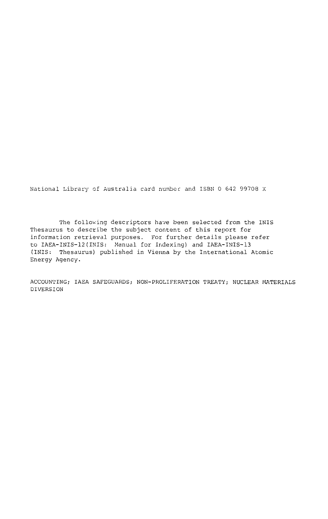National Library of Australia card number and ISBN 0 642 99708 X

The following descriptors have been selected from the INIS Thesaurus to describe the subject content of this report for information retrieval purposes. For further details please refer to IAEA-INIS-12(INIS: Manual for Indexing) and IAEA-INIS-13 (INIS: Thesaurus) published in Vienna by the International Atomic Energy Agency.

ACCOUNTING; IAEA SAFEGUARDS; NON-PROLIFERATION TREATY; NUCLEAR MATERIALS DIVERSION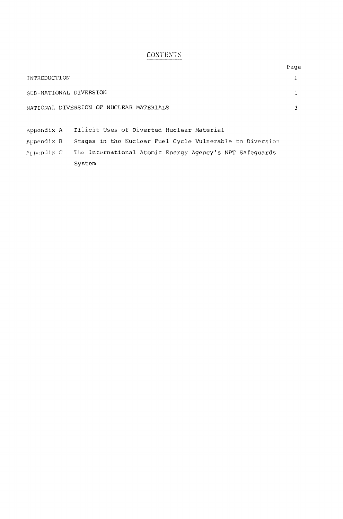## **CONTENTS**

|                                         | Page |
|-----------------------------------------|------|
| INTRODUCTION                            |      |
| SUB-NATIONAL DIVERSION                  |      |
| NATIONAL DIVERSION OF NUCLEAR MATERIALS |      |
|                                         |      |

Appendix A Illicit Uses of Diverted Nuclear Material

Appendix B Stages in the Nuclear Fuel Cycle Vulnerable to Diversion

Appendix C The International Atomic Energy Agency's NPT Safeguards System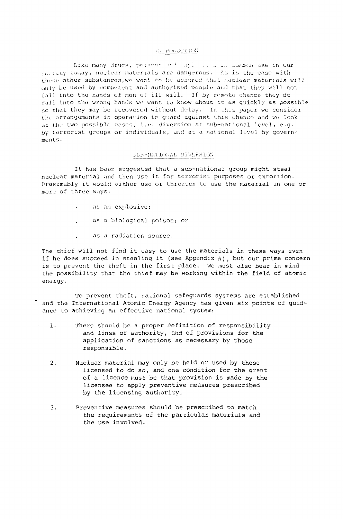#### DOIT COUNTRY

Like many drugs, poisons and will in ulle common use in our  $_{100, 101}$  today, nuclear materials are dangerous. As is the case with these other substances, we want to be assured that nuclear materials will only be used by competent and authorised people and that they will not fail into the hands of men of ill will. If by remote chance they do fall into the wrong hands we want to know about it as quickly as possible so that they may be recovered without delay. In this paper we consider the arrangements in operation to quard against this chance and we look ,it the two possible cases, i.e. diversion at sub-national level, e.g. by terrorist groups or individuals, and at a national level by governments.

#### SUB-NATIONAL DIVERSION

It has been suggested that a sub-national group might steal nuclear material and tiien use it for terrorist purposes or extortion. Presumably it would either use or threaten to use the material in one or more of three ways:

- as an explosive;
- as a biological poison; or
- as a radiation source.

The thief will not find it easy to use the materials in these ways even if he does succeed in stealing it (see Appendix A), but our prime concern is to prevent the theft in the first place. We must also bear in mind the possibility that the thief may be working within the field of atomic energy.

To prevent theft, national safeguards systems are established and the International Atomic Energy Agency has given six points of guidance to achieving an effective national system:

- 1. There should be a proper definition of responsibility and lines of authority, and of provisions for the application of sanctions as necessary by those responsible.
- 2. Nuclear material may only be held or used by those licensed to do so, and one condition for the grant of a licence must be that provision is made by the licensee to apply preventive measures prescribed by the licensing authority.
- 3. Preventive measures should be prescribed to match the requirements of the paicicular materials and the use involved.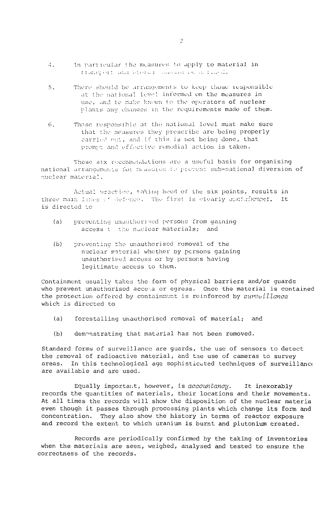- $\Lambda_{\rm{max}}$ In particular the measures to apply to material in transport and storal conount in a finite
- There should be arrangements to keep those responsible  $5.$ at the national level informed on the measures in use, and to make known to the operators of nuclear plants any changes in the requirements made of them.
- Those responsible at the national level must make sure 6. that the measures they prescribe are being properly carried out, and if this is not being done, that prompt and effective remedial action is taken.

These six recommendations are a useful basis for organising national arrangements for measures to prevent sub-national diversion of nuclear material.

Actual practice, taking heed of the six points, results in three main lines of defence. The first is clearly containment. It is directed to

- preventing unauthorised persons from gaining  $(a)$ access to the nuclear materials; and
- $(b)$ preventing the unauthorised removal of the nuclear material whether by persons gaining unauthorised access or by persons having legitimate access to them.

Containment usually takes the form of physical barriers and/or guards who prevent unauthorised access or egress. Once the material is contained the protection offered by containment is reinforced by surveillance which is directed to

- $(a)$ forestalling unauthorised removal of material; and
- demonstrating that material has not been removed.  $(b)$

Standard forms of surveillance are guards, the use of sensors to detect the removal of radioactive material, and the use of cameras to survey areas. In this technological age sophisticated techniques of surveillance are available and are used.

Equally important, however, is accountancy. It inexorably records the quantities of materials, their locations and their movements. At all times the records will show the disposition of the nuclear materia even though it passes through processing plants which change its form and concentration. They also show the history in terms of reactor exposure and record the extent to which uranium is burnt and plutonium created.

Records are periodically confirmed by the taking of inventories when the materials are seen, weighed, analysed and tested to ensure the correctness of the records.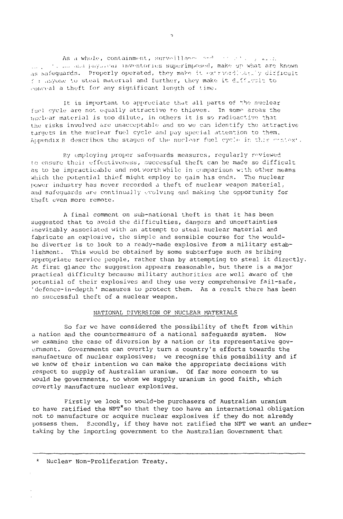As a whole, containment, surveillance and  $\cdots$  .  $\cdots$  , ... • :•>.,: pay.,, r<u inventories superimposed, make up what aro known as safequards. Properly operated, they make it extraordinately difficult  $f$  i .i.vone to steal material and further, they make it difficult to ,-oi.real a theft for any significant length of time.

It is important to appreciate that all parts of the nuclear fuel cycle are not equally attractive to thieves. In some areas the nuclear material is too dilute, in others it is so radioactive; that the risks involved are unacceptable and so we can identify the attractive targets in the nuclear fuel cycle and pay special attention to them. Appendix B describes the stages of the nuclear fuel cycle in this context.

By employing proper safeguards measures, regularly reviewed to ensure their effectiveness, successful theft can be made so difficult as to be impracticable and not worth while in comparison with other means which the potential thief might employ to gain his ends. The nuclear power industry has never recorded a theft of nuclear weapon material, and safeguards are continually evolving and making the opportunity for theft even more remote.

A final comment on sub-national theft is that it has been suggested that to avoid the difficulties, dangers and uncertainties inevitably associated with an attempt to steal nuclear material and fabricate an explosive, the simple and sensible course for the wouldbe diverter is to look to a ready-made explosive from a military establishment. This would be obtained by some subterfuge such as bribing appropriate service people, rather than by attempting to steal it directly. At first glance the suggestion appears reasonable, but there is a major practical difficulty because military authorities are well aware of the potential of their explosives and they use very comprehensive fail-safe, 'dofencc-in-depth ' measures to protect them. As a result there has been no successful theft of a nuclear weapon.

#### NATIONAL DIVERSION OF NUCLEAR MATERIALS

So far we have considered the possibility of theft from within a nation and the countermeasure of a national safeguards system. Now we examine the case of diversion by a nation or its representative government. Governments can overtly turn a country's efforts towards the manufacture of nuclear explosives; we recognise this possibility and if we know of their intention we can make the appropriate decisions with respect to supply of Australian uranium. Of far more concern to us would be governments, to whom we supply uranium in good faith, which covertly manufacture nuclear explosives.

Firstly we look to would-be purchasers of Australian uranium to have ratified the NPT\*so that they too have an international obligation not to manufacture or acquire nuclear explosives if they do not already possess them. Secondly, if they have not ratified the NPT we want an undertaking by the importing government to the Australian Government that

 $\sim$ 

Nuclear Non-Proliferation Treaty.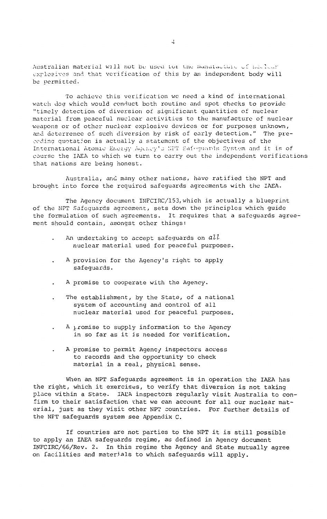Australian material will not be used for the manufacture of nuclear explosives and that verification of this by an independent body will be permitted.

To achieve this verification we need a kind of international watch dog which would conduct both routine and spot checks to provide "timely detection of diversion of significant quantities of nuclear material from peaceful nuclear activities to the manufacture of nuclear weapons or of other nuclear explosive devices or for purposes unknown, and deterrence of such diversion by risk of early detection." The preceding quotation is actually a statement of the objectives of the International Atomic Energy Agency's WPT Safeguards System and it is of course the IAEA to which we turn to carry out the independent verifications that nations are being honest.

Australia, and many other nations, have ratified the NPT and brought into force the required safeguards agreements with the IAEA.

The Agency document INFCIRC/153, which is actually a blueprint of the NPT Safeguards agreement, sets down the principles which guide the formulation of such agreements. It requires that a safeguards agreement should contain, amongst other things:

- An undertaking to accept safeguards on  $all$ nuclear material used for peaceful purposes.
- A provision for the Agency's right to apply safeguards.
- A promise to cooperate with the Agency.
- The establishment, by the State, of a national system of accounting and control of all nuclear material used for peaceful purposes.
- A promise to supply information to the Agency in so far as it is needed for verification.
- A promise to permit Agency inspectors access  $\ddot{\phantom{a}}$ to records and the opportunity to check material in a real, physical sense.

When an NPT Safeguards agreement is in operation the IAEA has the right, which it exercises, to verify that diversion is not taking place within a State. IAEA inspectors regularly visit Australia to confirm to their satisfaction vhat we can account for all our nuclear material, just as they visit other NPT countries. For further details of the NPT safeguards system see Appendix C.

If countries are not parties to the NPT it is still possible to apply an IAEA safeguards regime, as defined in Agency document INFCIRC/66/Rev. 2. In this regime the Agency and State mutually agree on facilities and materials to which safeguards will apply.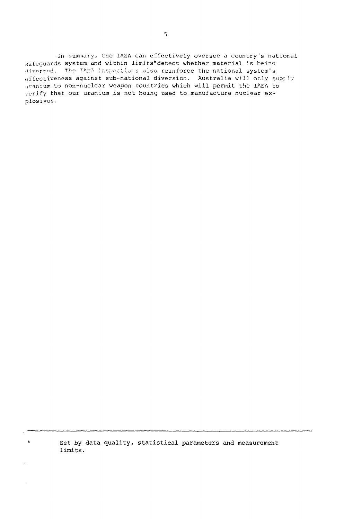In summaiy, the IAEA can effectively oversee a country's national safeguards system and within limits\*detect whether material is being Hiverted. The TAEM inspections also reinforce the national system's effectiveness against sub-national diversion. Australia will only supr ly nranium to non-nuclear weapon countries which will permit the IAEA to verify that our uranium is not being used to manufacture nuclear explosives.

> Set by data quality, statistical parameters and measurement limits.

 $\star$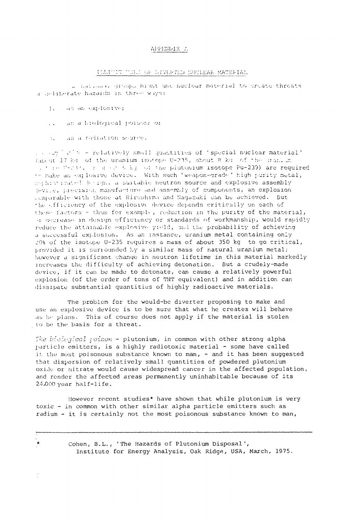#### APPENDIX A

#### ILLITIT TULL OF DIVERTED INCLEAR MATERIAL

2. Lational groups might use nuclear material to create threats a celiberate hazards in three ways:

1. as an explosive;

 $\star$ 

- $\sim 10$ an a biological poison, or
- an a radiation source.  $\mathcal{L}_{\mathcal{L}}$

[ ] [ ] [ ] [ ] [ ] = relatively small quantities of 'special nuclear material' (about 17 kg of the uranium isotope U-235, about 8 kg of the standing It see C-234, is a circle kg of the piutonium isotope Pu-239) are required to make an explosive device. With such 'weapon-grade' high purity metal, makes instanted being, a suitable neutron source and explosive assembly levile, precision manufacture and assembly of components, an explosion comparable with those at Hiroshima and Nagazaki can be achieved. But the efficiency of the explosive device depends critically on each of these factors - thus for example, reduction in the purity of the material, or decrease in design efficiency or standards of workmanship, would rapidly reduce the attainable explosive yield, and the probability of achieving a successful explosion. As an instance, uranium metal containing only 20% of the isotope 0-235 requires a mass of about 350 kg to go critical, provided it is surrounded by a similar mass of natural uranium metal; however a significant change in neutron lifetime in this material markedly increases the difficulty of achieving detonation. But a crudely-made device, if it can be made to detonate, can cause a relatively powerful explosion (of the order of tons of TNT equivalent) and in addition can dissipate substantial quantities of highly radioactive materials.

The problem for the would-be diverter proposing to make and use an explosive device is to be sure that what he creates will behave as he plans. This of course does not apply if the material is stolen to be the basis for a threat.

The biological poison - plutonium, in common with other strong alpha particle emitters, is a highly radiotoxic material - some have called it the most poisonous substance known to man, - and it has been suggested that dispersion of relatively small quantities of powdered plutonium oxide or nitrate would cause widespread cancer in the affected population, and render the affected areas permanently uninhabitable because of its 24,000 year half-life.

However recent studies\* have shown that while plutonium is very toxic - in common with other similar alpha particle emitters such as radium - it is certainly not the most poisonous substance known to man,

> Cohen, B.L., 'The Hazards of Plutonium Disposal', Institute for Energy Analysis, Oak Ridge, USA, March, 1975.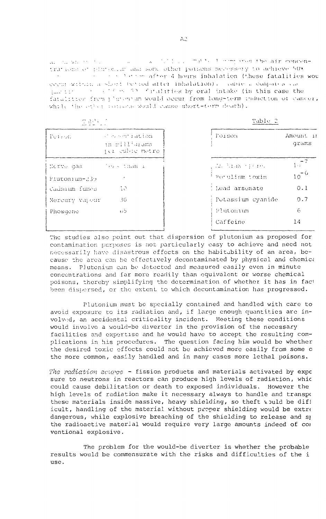a little which are not the air concenall the whole the co- $\sim 10^{-1}$ trations of plutonium and some other pothons necessary to achieve 50% common after 4 hours inhalation (these fatalities wou cech within a short be nod after inhalation). Tamie 2 Company's cas question of the Constantination by oral intake (in this case the fatalities from t'grouvan would occur from long-term induction of cancer, while the other rounds would cause short-term death).

 $(2, 3, 1, 1, 2, 3)$ 

 $100 \times 10^{-1}$ 

| .              |                                                   | ساد ساد سندانه              |                    |  |
|----------------|---------------------------------------------------|-----------------------------|--------------------|--|
| Tetron         | consentiation<br>in milliuzams<br>jer cubic metre | Forson                      | Amount in<br>grams |  |
| Nerve gas      | √es < than ⊥                                      | call trade of them.         | 1.77               |  |
| Plutonium-239  |                                                   | <sup>1</sup> Porulism toxin | $10^{-6}$          |  |
| Cadmium fumes  | 70                                                | ! Lead arsenate             | 0.1                |  |
| Mercury vapour | -3G                                               | - Potassium cyanide         | 0.7                |  |
| Phosgene       | ਦਾਂਚ                                              | Plutonium                   | 6                  |  |
|                |                                                   | Caffeine                    | 14                 |  |

The studies also point out that dispersion of plutonium as proposed for contamination purposes is not particularly easy to achieve and need not necessarily have disastrous effects on the habitability of an area, because the area can be effectively decontaminated by physical and chemica means. Plutonium can be detected and measured easily even in minute concentrations and far more readily than equivalent or worse chemical poisons, thereby simplifying the determination of whether it has in fact been dispersed, or the extent to which decontamination has progressed.

Plutonium must be specially contained and handled with care to avoid exposure to its radiation and, if large enough quantities are involved, an accidental criticality incident. Meeting these conditions would involve a would-be diverter in the provision of the necessary facilities and expertise and he would have to accept the resulting complications in his procedures. The question facing him would be whether the desired toxic effects could not be achieved more easily from some o the more common, easily handled and in many cases more lethal poisons.

The radiation source - fission products and materials activated by expo sure to neutrons in reactors can produce high levels of radiation, whic could cause debilitation or death to exposed individuals. However the high levels of radiation make it necessary always to handle and transpo these materials inside massive, heavy shielding, so theft would be diff icult, handling of the material without proper shielding would be extre dangerous, while explosive breaching of the shielding to release and sp the radioactive material would require very large amounts indeed of com ventional explosive.

The problem for the would-be diverter is whether the probable results would be commensurate with the risks and difficulties of the i  $use.$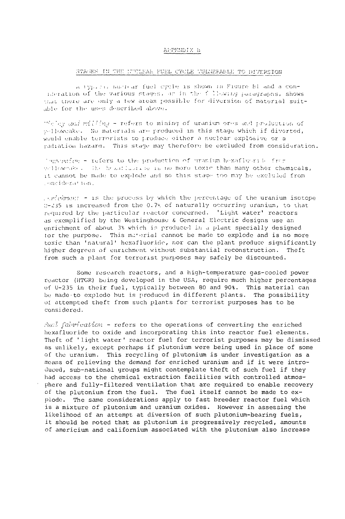#### APPENDIX B

#### STAGES IN THE NUCLEAR FUEL CYCLE VULNEFABLE TO DIVERSION

A typical number fuel cycle is shown in Figure Bl and a conideration of the various stages, an in the fillowing paragraphs, shows that there are only a few areas possible for diversion of material suitable for the uses described above.

"Solar and millims - refers to mining of uranium ores and production of velloweake. No materials are produced in this stage which if diverted, would enable terrorists to produce either a nuclear explosive or a radiation hazard. This stage may therefore be excluded from consideration.

Imporprior - refers to the production of uranium hexafluerib. from wellownake. The headflustrie is no more toxic than many other chemicals, it cannot be made to explode and so this stage too may be excluded from consideration.

parteinment - is the process by which the percentage of the uranium isotope 0-235 is increased from the 0.7% of naturally occurring uranium, to that required by the particular reactor concerned. 'Light water' reactors as exemplified by the Westinghouse & General Electric designs use an enrichment of about 3% which is produced in a plant specially designed for the purpose. This material cannot be made to explode and is no more toxic than 'natural' hexafluoride, nor can the plant produce significantly higher degrees of enrichment without substantial reconstruction. Theft from such a plant for terrorist purposes may safely be discounted.

Some research reactors, and a high-temperature gas-cooled power reactor (HTGR) being developed in the USA, require much higher percentages of U-235 in their fuel, typically between 80 and 90%. This material can be made to explode but is produced in different plants. The possibility of attempted theft from such plants for terrorist purposes has to be considered.

 $\forall u \in \mathbb{R}$  (abrication - refers to the operations of converting the enriched hexafluoride to oxide and incorporating this into reactor fuel elements. Theft of 'light water' reactor fuel for terrorist purposes may be dismissed as unlikely, except perhaps if plutonium were being used in place of some of the uranium. This recycling of plutonium is under investigation as a means of relieving the demand for enriched uranium and if it were introduced, sub-national groups might contemplate theft of such fuel if they had access to the chemical extraction facilities with controlled atmosphere and fully-filtered ventilation that are required to enable recovery of the plutonium from the fuel. The fuel itself cannot be made to explode. The same considerations apply to fast breeder reactor fuel which is a mixture of plutonium and uranium oxides. However in assessing the likelihood of an attempt at diversion of such plutonium-bearing fuels, it should be noted that as plutonium is progressively recycled, amounts of americium and californium associated with the plutonium also increase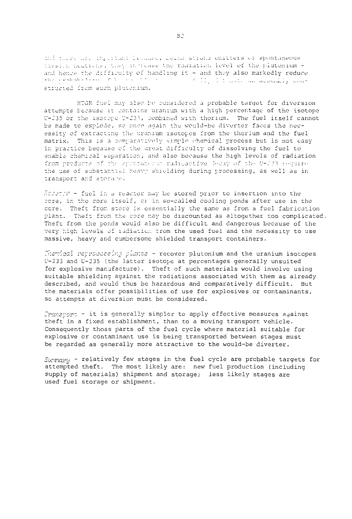and three are inglatuatelectated, Delha Strong emitters of spontaneous lissich heatichs, they increase the radiation level of the plutonium and hence the difficulty of handling it - and they also markedly reduce the probability of  $v \rightarrow v$ . The contract of  $v$  is also materially contract of  $v$ . structed from such plutenium.

HTGR fuel may also be considered a probable target for diversion attempts because it contains uranium with a high percentage of the isotope U-135 or the isotope U-133, combined with thorium. The fuel itself cannot be made to explode, so once again the would-be diverter faces the necessity of extracting the uranium isotopes from the thorium and the fuel matrix. This is a comparatively simple chemical process but is not easy ir. practice because of the groat difficulty of dissolving the fuel to enable chemical separation, and also because the high levels of radiation from products of the spintanes is radioactive 3-cay of the 0-233 requires the use of substantial heavy shielding during processing, as well as in transport and storare.

Reserve - fuel in a reactor may be stored prior to insertion into the core, in the core itself, or in so-called cooling ponds after use in the cere. Theft from store is essentially the same as from a fuel fabrication plant. Theft from the core may be discounted as altogether too complicated. Theft from the ponds would also be difficult and dangerous because of the very high levels of ladiatic:. rrom the used fuel and the necessity to use massive, heavy and cumbersome shielded transport containers.

Themical retrocessing plants - recover plutonium and the uranium isotopes U-233 and U-235 (the latter isotope at percentages generally unsuited for explosive manufacture). Theft of such materials would involve using suitable shielding against the radiations associated with them as already described, and would thus be hazardous and comparatively difficult. But the materials offer possibilities of use for explosives or contaminants, so attempts at diversion must be considered.

 $Transport - it$  is generally simpler to apply effective measures against theft in a fixed establishment, than to a moving transport vehicle. Consequently those parts of the fuel cycle where material suitable for explosive or contaminant use is being transported between stages must be regarded as generally more attractive to the would-be diverter.

 $S_{U''MQI'U}$  - relatively few stages in the fuel cycle are probable targets for attempted theft. The most likely are: new fuel production (including supply of materials) shipment and storage; less likely stages are used fuel storage or shipment.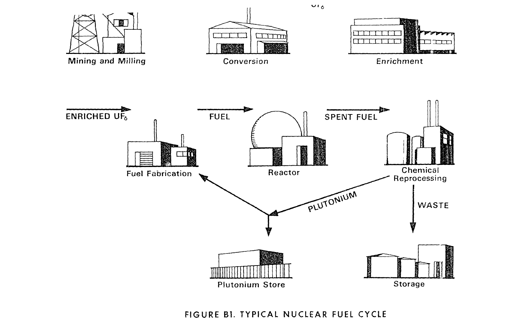

FIGURE Bl. TYPICAL NUCLEAR FUEL CYCLE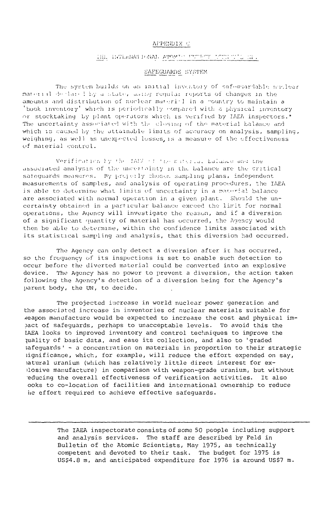#### APPENDIX C

#### THE TRIERMAN FONAL ATOMAS ARE TOTTLET OF HE.

#### SAFEGUARDS SYSTEM

The system builds on an initial inventory of safeduardable nuclear material declared by a state, using requisi reports of changes in the amounts and distribution of nuclear material in a country to maintain a 'book inventory' which is periodically compared with a physical inventory or stocktaking by plant operators which is verified by IAEA inspectors.\* The uncertainty associated with the closing of the material balance and which is caused by the attainable limits of accuracy on analysis, sampling, weighing, as well as unexpected losses, is a measure of the effectiveness of material control.

Verification by the IAEV of the material bulance and the associated analysis of the uncertainty in the balance are the critical satequards measures. By projetly chosen sampling plans, independent measurements of samples, and analysis of operating procedures, the IAEA is able to determine what limits of uncertainty in a manerial balance are associated with normal operation in a given plant. Should the uncertainty obtained in a particular balance exceed the limit for normal operations, the Agency will investigate the reason, and if a diversion of a significant quantity of material has occurred, the Agency would then be able to determine, within the confidence limits associated with its statistical sampling and analysis, that this diversion had occurred.

The Agency can only detect a diversion after it has occurred, so the frequency of its inspections is set to enable such detection to occur before the diverted material could be converted into an explosive device. The Agency has no power to prevent a diversion, the action taken following the Agency's detection of a diversion being for the Agency's parent body, the UN, to decide.

The projected increase in world nuclear power generation and the associated increase in inventories of nuclear materials suitable for weapon manufacture would be expected to increase the cost and physical impact of safeguards, perhaps to unacceptable levels. To avoid this the IAEA looks to improved inventory and control techniques to improve the quality of basic data, and ease its collection, and also to 'graded safequards' - a concentration on materials in proportion to their strategic significance, which, for example, will reduce the effort expended on say, hatural uranium (which has relatively little direct interest for exlosive manufacture) in comparison with weapon-grade uranium, but without educing the overall effectiveness of verification activities. It also ooks to co-location of facilities and international ownership to reduce he effort required to achieve effective safeguards.

> The IAEA inspectorate consists of some 50 people including support and analysis services. The staff are described by Feld in Bulletin of the Atomic Scientists, May 1975, as technically competent and devoted to their task. The budget for 1975 is US\$4.8 m, and anticipated expenditure for 1976 is around US\$7 m.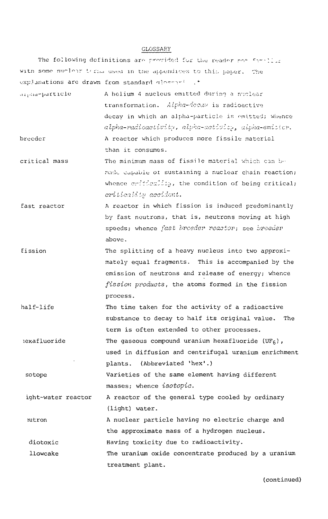#### GLOSSARY

The following definitions are provided for the reader ro with some numlear thras used in the appendices to this paper. The explanations are drawn from standard dlossari .\*

- -particle breeder A holium 4 nucleus emitted during a nuclear transformation. Alpha-decay is radioactive decay in which an alpha-particle is omitted; whence alpha-radioactivity, alpha-activity, alpha-emitter. A reactor which produces more fissile material than it consumes.
- critical mass The minimum mass of fissile material which can bnade capable of sustaining a nuclear chain reaction; whence  $criticality$ , the condition of being critical; criticality accident.
- fast reactor A reactor in which fission is induced predominantly by fast neutrons, that is, neutrons moving at high speeds; whence fast breeder reactor; see breeder above.
- fission The splitting of a heavy nucleus into two approximately equal fragments. This is accompanied by the emission of neutrons and release of energy; whence fission products, the atoms formed in the fission process.
- half-life The time taken for the activity of a radioactive substance to decay to half its original value. The term is often extended to other processes.
- lexafluoride The gaseous compound uranium hexafluoride (UF<sub>6</sub>), used in diffusion and centrifugal uranium enrichment plants. (Abbreviated 'hex'.)

sotope Varieties of the same element having different masses; whence isotopie.

ight-water reactor A reactor of the general type cooled by ordinary (light) water.

:utron diotoxic A nuclear particle having no electric charge and the approximate mass of a hydrogen nucleus. Having toxicity due to radioactivity.

llowcake The uranium oxide concentrate produced by a uranium treatment plant.

(continued)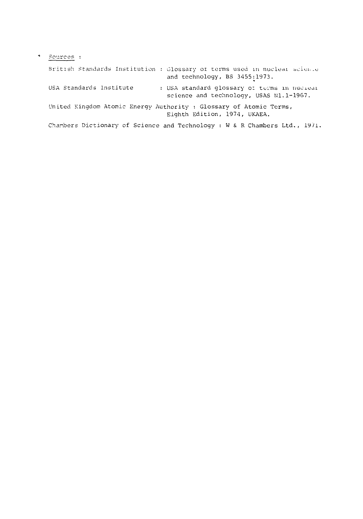| $\ddot{\phantom{0}}$ | Sources :                                                                                                         |
|----------------------|-------------------------------------------------------------------------------------------------------------------|
|                      | British Standards Institution : Glossary of terms used in nuclear science<br>and technology, BS 3455:1973.        |
|                      | USA Standards Institute<br>: USA standard glossary of terms in nuclear<br>science and technology, USAS N1.1-1967. |
|                      | United Kingdom Atomic Energy Authority : Glossary of Atomic Terms,<br>Eighth Edition, 1974, UKAEA.                |
|                      | Charbers Dictionary of Science and Technology : W & R Chambers Ltd., 1971.                                        |